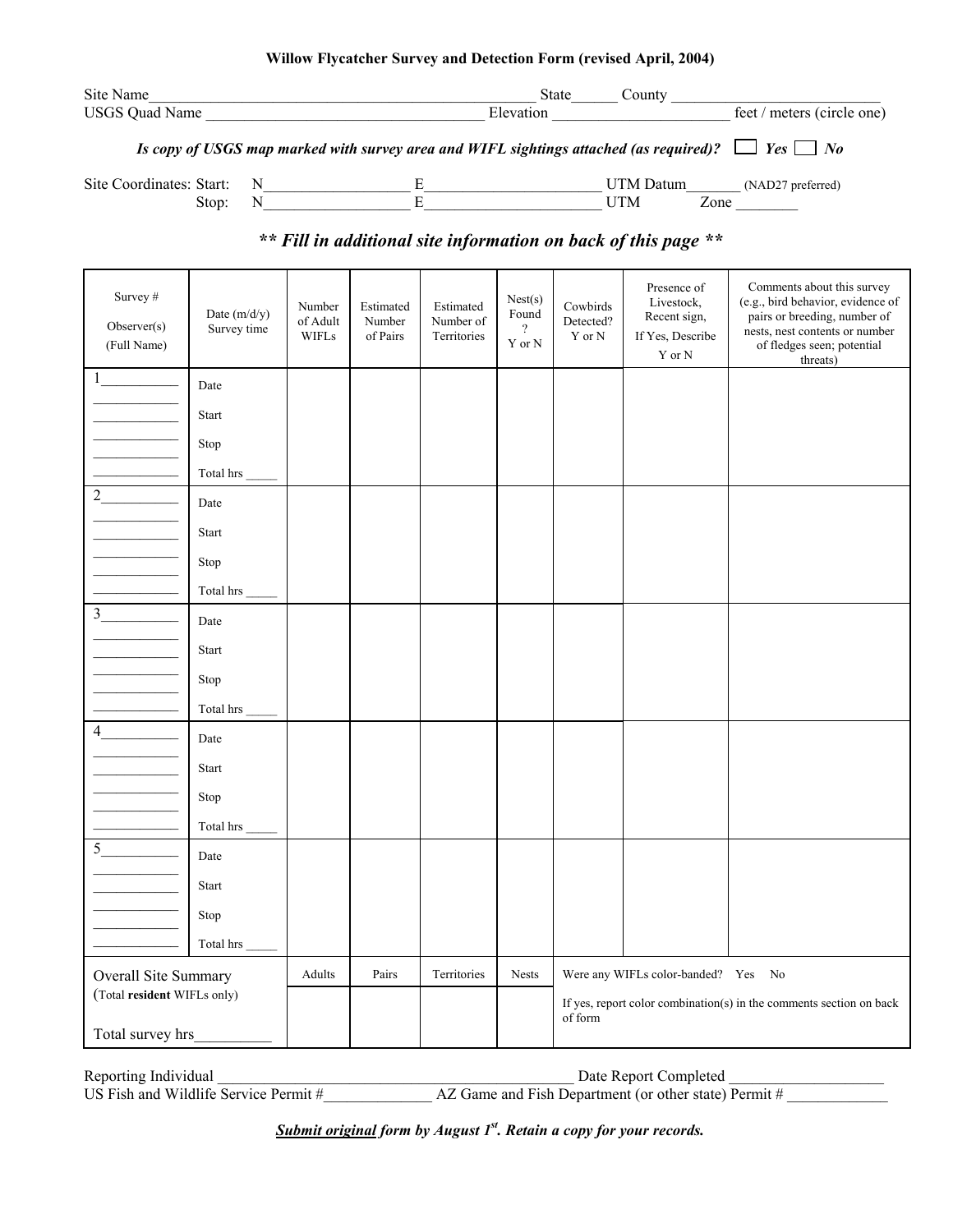| Willow Flycatcher Survey and Detection Form (revised April, 2004) |                                                                                                             |               |                            |  |  |
|-------------------------------------------------------------------|-------------------------------------------------------------------------------------------------------------|---------------|----------------------------|--|--|
| Site Name                                                         | <b>State</b>                                                                                                | County        |                            |  |  |
| USGS Quad Name                                                    | Elevation                                                                                                   |               | feet / meters (circle one) |  |  |
|                                                                   | Is copy of USGS map marked with survey area and WIFL sightings attached (as required)? $\Box$ Yes $\Box$ No |               |                            |  |  |
| $\alpha$ . $\alpha$ ii . $\alpha$ . The state                     |                                                                                                             | <b>TTTLFT</b> |                            |  |  |

Site Coordinates: Start: N\_\_\_\_\_\_\_\_\_\_\_\_\_\_\_\_\_\_\_ E\_\_\_\_\_\_\_\_\_\_\_\_\_\_\_\_\_\_\_\_\_\_\_ UTM Datum\_\_\_\_\_\_\_ (NAD27 preferred) Stop: N\_\_\_\_\_\_\_\_\_\_\_\_\_\_\_\_\_\_\_ E\_\_\_\_\_\_\_\_\_\_\_\_\_\_\_\_\_\_\_\_\_\_\_ UTM Zone \_\_\_\_\_\_\_\_

## *\*\* Fill in additional site information on back of this page \*\**

| Survey #<br>Observer(s)<br>(Full Name)              | Date (m/d/y)<br>Survey time | Number<br>of Adult<br><b>WIFLs</b> | Estimated<br>Number<br>of Pairs | Estimated<br>Number of<br>Territories | Nest(s)<br>$\mbox{Found}$<br>$\overline{\mathcal{L}}$<br>Y or N | Cowbirds<br>Detected?<br>Y or N | Presence of<br>Livestock,<br>Recent sign,<br>If Yes, Describe<br>$\mathbf Y$ or $\mathbf N$ | Comments about this survey<br>(e.g., bird behavior, evidence of<br>pairs or breeding, number of<br>nests, nest contents or number<br>of fledges seen; potential<br>threats) |
|-----------------------------------------------------|-----------------------------|------------------------------------|---------------------------------|---------------------------------------|-----------------------------------------------------------------|---------------------------------|---------------------------------------------------------------------------------------------|-----------------------------------------------------------------------------------------------------------------------------------------------------------------------------|
|                                                     | Date                        |                                    |                                 |                                       |                                                                 |                                 |                                                                                             |                                                                                                                                                                             |
|                                                     | Start                       |                                    |                                 |                                       |                                                                 |                                 |                                                                                             |                                                                                                                                                                             |
|                                                     | Stop                        |                                    |                                 |                                       |                                                                 |                                 |                                                                                             |                                                                                                                                                                             |
|                                                     | Total hrs                   |                                    |                                 |                                       |                                                                 |                                 |                                                                                             |                                                                                                                                                                             |
| $\overline{2}$                                      | Date                        |                                    |                                 |                                       |                                                                 |                                 |                                                                                             |                                                                                                                                                                             |
|                                                     | Start                       |                                    |                                 |                                       |                                                                 |                                 |                                                                                             |                                                                                                                                                                             |
|                                                     | Stop                        |                                    |                                 |                                       |                                                                 |                                 |                                                                                             |                                                                                                                                                                             |
|                                                     | Total hrs                   |                                    |                                 |                                       |                                                                 |                                 |                                                                                             |                                                                                                                                                                             |
| $3 \overline{\phantom{a} \phantom{a}}$              | Date                        |                                    |                                 |                                       |                                                                 |                                 |                                                                                             |                                                                                                                                                                             |
|                                                     | Start                       |                                    |                                 |                                       |                                                                 |                                 |                                                                                             |                                                                                                                                                                             |
|                                                     | Stop                        |                                    |                                 |                                       |                                                                 |                                 |                                                                                             |                                                                                                                                                                             |
|                                                     | Total hrs                   |                                    |                                 |                                       |                                                                 |                                 |                                                                                             |                                                                                                                                                                             |
| $\frac{4}{\sqrt{2}}$                                | Date                        |                                    |                                 |                                       |                                                                 |                                 |                                                                                             |                                                                                                                                                                             |
|                                                     | Start                       |                                    |                                 |                                       |                                                                 |                                 |                                                                                             |                                                                                                                                                                             |
|                                                     | Stop                        |                                    |                                 |                                       |                                                                 |                                 |                                                                                             |                                                                                                                                                                             |
|                                                     | Total hrs                   |                                    |                                 |                                       |                                                                 |                                 |                                                                                             |                                                                                                                                                                             |
| 5                                                   | Date                        |                                    |                                 |                                       |                                                                 |                                 |                                                                                             |                                                                                                                                                                             |
|                                                     | Start                       |                                    |                                 |                                       |                                                                 |                                 |                                                                                             |                                                                                                                                                                             |
|                                                     | Stop                        |                                    |                                 |                                       |                                                                 |                                 |                                                                                             |                                                                                                                                                                             |
|                                                     | Total hrs                   |                                    |                                 |                                       |                                                                 |                                 |                                                                                             |                                                                                                                                                                             |
| Overall Site Summary<br>(Total resident WIFLs only) |                             | Adults                             | Pairs                           | Territories                           | Nests                                                           |                                 | Were any WIFLs color-banded? Yes No                                                         |                                                                                                                                                                             |
|                                                     |                             |                                    |                                 |                                       |                                                                 |                                 | If yes, report color combination(s) in the comments section on back                         |                                                                                                                                                                             |
| Total survey hrs                                    |                             |                                    |                                 |                                       |                                                                 | of form                         |                                                                                             |                                                                                                                                                                             |

Reporting Individual \_\_\_\_\_\_\_\_\_\_\_\_\_\_\_\_\_\_\_\_\_\_\_\_\_\_\_\_\_\_\_\_\_\_\_\_\_\_\_\_\_\_\_\_\_\_ Date Report Completed \_\_\_\_\_\_\_\_\_\_\_\_\_\_\_\_\_\_\_\_ US Fish and Wildlife Service Permit #  $\overline{AZ}$  Game and Fish Department (or other state) Permit #

*Submit original form by August 1<sup>st</sup>. Retain a copy for your records.*